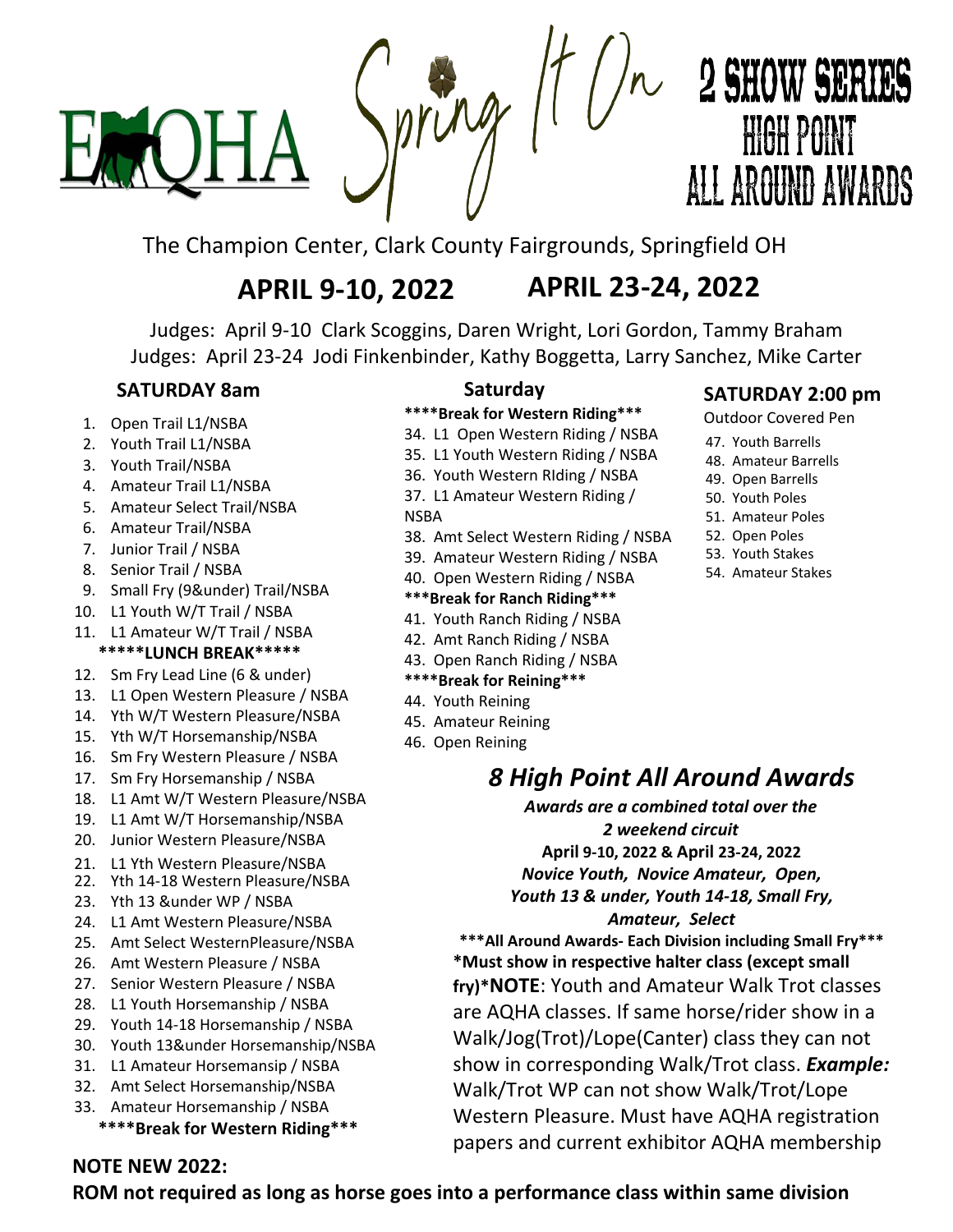

# $\sqrt{11}$  /  $\sim$  2 SHOW SERIES **HIGH POINT** ALL ARGUND AWARDS

The Champion Center, Clark County Fairgrounds, Springfield OH

### APRIL **9-10, 2022** APRIL **23-24, 2022**

Judges: April 9-10 Clark Scoggins, Daren Wright, Lori Gordon, Tammy Braham Judges: April 23-24 Jodi Finkenbinder, Kathy Boggetta, Larry Sanchez, Mike Carter

### **SATURDAY 8am**

- 1. Open Trail L1/NSBA
- 2. Youth Trail L1/NSBA
- 3. Youth Trail/NSBA
- 4. Amateur Trail L1/NSBA
- 5. Amateur Select Trail/NSBA
- 6. Amateur Trail/NSBA
- 7. Junior Trail / NSBA
- 8. Senior Trail / NSBA
- 9. Small Fry (9&under) Trail/NSBA
- 10. L1 Youth W/T Trail / NSBA
- 11. L1 Amateur W/T Trail / NSBA \*\*\*\*\***LUNCH** BREAK\*\*\*\*\*
- 12. Sm Fry Lead Line (6 & under)
- 13. L1 Open Western Pleasure / NSBA
- 14. Yth W/T Western Pleasure/NSBA
- 15. Yth W/T Horsemanship/NSBA
- 16. Sm Fry Western Pleasure / NSBA
- 17. Sm Fry Horsemanship / NSBA
- 18. L1 Amt W/T Western Pleasure/NSBA
- 19. L1 Amt W/T Horsemanship/NSBA
- 20. Junior Western Pleasure/NSBA
- 21. L1 Yth Western Pleasure/NSBA
- 22. Yth 14-18 Western Pleasure/NSBA
- 23. Yth 13 &under WP / NSBA
- 24. L1 Amt Western Pleasure/NSBA
- 25. Amt Select WesternPleasure/NSBA
- 26. Amt Western Pleasure / NSBA
- 27. Senior Western Pleasure / NSBA
- 28. L1 Youth Horsemanship / NSBA
- 29. Youth 14-18 Horsemanship / NSBA
- 30. Youth 13&under Horsemanship/NSBA
- 31. L1 Amateur Horsemansip / NSBA
- 32. Amt Select Horsemanship/NSBA
- 33. Amateur Horsemanship / NSBA **\*\*\*\*Break for Western Riding\*\*\***

### **Saturday**

- **\*\*\*\*Break for Western Riding\*\*\***
- 34. L1 Open Western Riding / NSBA 35. L1 Youth Western Riding / NSBA
- 36. Youth Western RIding / NSBA
- 37. L1 Amateur Western Riding /
- NSBA
- 
- 38. Amt Select Western Riding / NSBA
- 39. Amateur Western Riding / NSBA
- 40. Open Western Riding / NSBA
- **\*\*\*Break for Ranch Riding\*\*\***
- 41. Youth Ranch Riding / NSBA
- 42. Amt Ranch Riding / NSBA
- 43. Open Ranch Riding / NSBA
- **\*\*\*\*Break for Reining\*\*\***
- 44. Youth Reining
- 45. Amateur Reining
- 46. Open Reining

### **SATURDAY 2:00 pm**

Outdoor Covered Pen

- 47. Youth Barrells
- 48. Amateur Barrells
- 49. Open Barrells
- 50. Youth Poles
- 51. Amateur Poles
- 52. Open Poles
- 53. Youth Stakes
- 54. Amateur Stakes

*8 High Point All Around Awards* 

*Awards are a combined total over the 2 weekend circuit*  **April 9-10, 2022 & April 23-24, 2022** *Novice Youth, Novice Amateur, Open, Youth 13 & under, Youth 14-18, Small Fry, Amateur, Select*

**\*\*\*All Around Awards- Each Division including Small Fry\*\*\* \*Must show in respective halter class (except small fry)\*NOTE**: Youth and Amateur Walk Trot classes are AQHA classes. If same horse/rider show in a Walk/Jog(Trot)/Lope(Canter) class they can not show in corresponding Walk/Trot class. *Example:* Walk/Trot WP can not show Walk/Trot/Lope Western Pleasure. Must have AQHA registration papers and current exhibitor AQHA membership

### **NOTE NEW 2022:**

**ROM not required as long as horse goes into a performance class within same division**